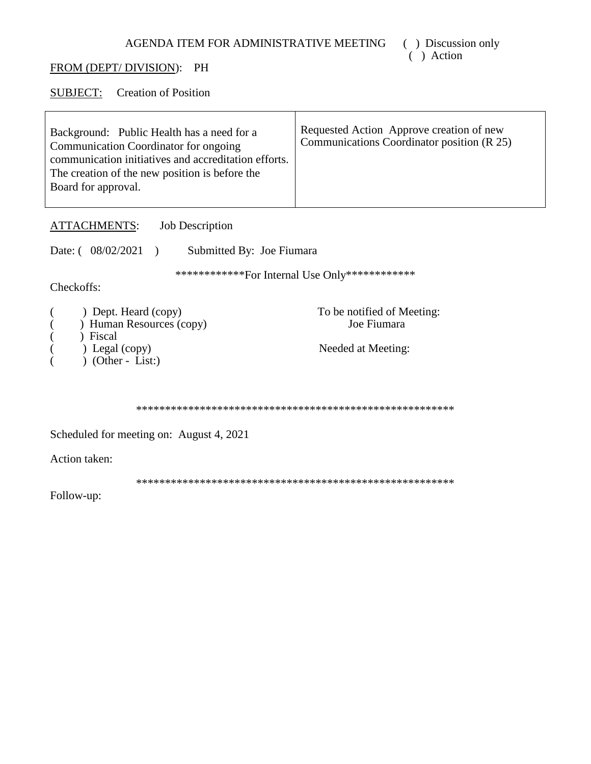( ) Discussion only  $($   $)$  Action

# FROM (DEPT/DIVISION): PH

SUBJECT: Creation of Position

| Background: Public Health has a need for a<br>Communication Coordinator for ongoing<br>communication initiatives and accreditation efforts.<br>The creation of the new position is before the<br>Board for approval. | Requested Action Approve creation of new<br>Communications Coordinator position (R 25) |
|----------------------------------------------------------------------------------------------------------------------------------------------------------------------------------------------------------------------|----------------------------------------------------------------------------------------|
|                                                                                                                                                                                                                      |                                                                                        |

**ATTACHMENTS:** Job Description

Date:  $(08/02/2021)$ Submitted By: Joe Fiumara

\*\*\*\*\*\*\*\*\*\*\*\*\*For Internal Use Only\*\*\*\*\*\*\*\*\*\*\*\*\*

Checkoffs:

| ) Dept. Heard (copy)     | To be notified of Meeting: |
|--------------------------|----------------------------|
| ) Human Resources (copy) | Joe Fiumara                |

- ) Fiscal  $\overline{(}$
- ) Legal (copy)  $\overline{(}$
- $\overline{)}$  (Other List:)  $\overline{(}$

Needed at Meeting:

Scheduled for meeting on: August 4, 2021

Action taken:

Follow-up: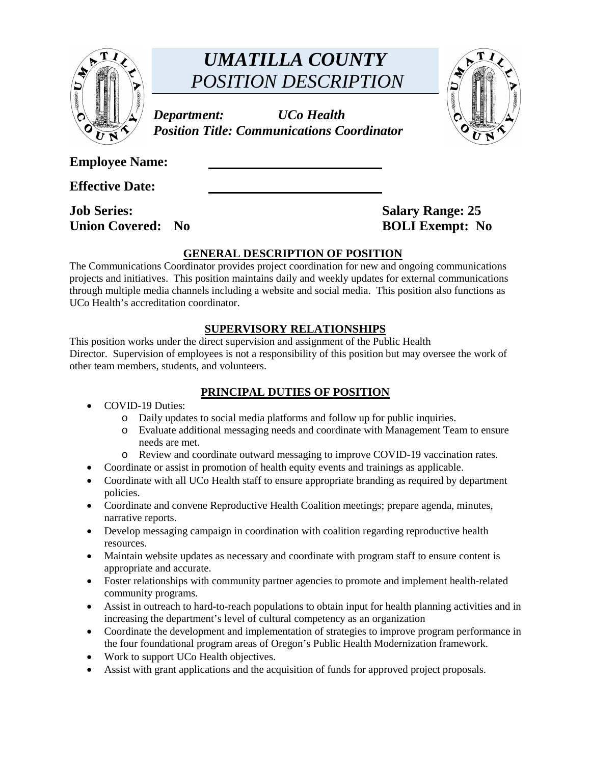

# *UMATILLA COUNTY POSITION DESCRIPTION*

*Department: UCo Health Position Title: Communications Coordinator* 



**Employee Name:** 

**Effective Date:** 

**Job Series:** Salary Range: 25 **Union Covered: No BOLI Exempt: No** 

# **GENERAL DESCRIPTION OF POSITION**

The Communications Coordinator provides project coordination for new and ongoing communications projects and initiatives. This position maintains daily and weekly updates for external communications through multiple media channels including a website and social media. This position also functions as UCo Health's accreditation coordinator.

# **SUPERVISORY RELATIONSHIPS**

This position works under the direct supervision and assignment of the Public Health Director. Supervision of employees is not a responsibility of this position but may oversee the work of other team members, students, and volunteers.

# **PRINCIPAL DUTIES OF POSITION**

- COVID-19 Duties:
	- o Daily updates to social media platforms and follow up for public inquiries.
	- o Evaluate additional messaging needs and coordinate with Management Team to ensure needs are met.
	- o Review and coordinate outward messaging to improve COVID-19 vaccination rates.
- Coordinate or assist in promotion of health equity events and trainings as applicable.
- Coordinate with all UCo Health staff to ensure appropriate branding as required by department policies.
- Coordinate and convene Reproductive Health Coalition meetings; prepare agenda, minutes, narrative reports.
- Develop messaging campaign in coordination with coalition regarding reproductive health resources.
- Maintain website updates as necessary and coordinate with program staff to ensure content is appropriate and accurate.
- Foster relationships with community partner agencies to promote and implement health-related community programs.
- Assist in outreach to hard-to-reach populations to obtain input for health planning activities and in increasing the department's level of cultural competency as an organization
- Coordinate the development and implementation of strategies to improve program performance in the four foundational program areas of Oregon's Public Health Modernization framework.
- Work to support UCo Health objectives.
- Assist with grant applications and the acquisition of funds for approved project proposals.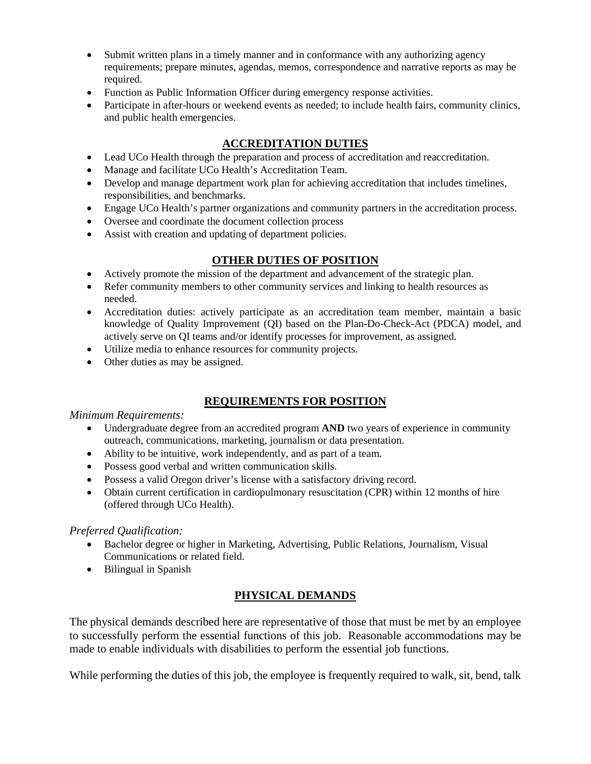- Submit written plans in a timely manner and in conformance with any authorizing agency requirements; prepare minutes, agendas, memos, correspondence and narrative reports as may be required.
- Function as Public Information Officer during emergency response activities.
- Participate in after-hours or weekend events as needed; to include health fairs, community clinics, and public health emergencies.

# **ACCREDITATION DUTIES**

- Lead UCo Health through the preparation and process of accreditation and reaccreditation.
- Manage and facilitate UCo Health's Accreditation Team.
- Develop and manage department work plan for achieving accreditation that includes timelines, responsibilities, and benchmarks.
- Engage UCo Health's partner organizations and community partners in the accreditation process.
- Oversee and coordinate the document collection process
- Assist with creation and updating of department policies.

#### **OTHER DUTIES OF POSITION**

- Actively promote the mission of the department and advancement of the strategic plan.
- Refer community members to other community services and linking to health resources as needed.
- Accreditation duties: actively participate as an accreditation team member, maintain a basic knowledge of Quality Improvement (QI) based on the Plan-Do-Check-Act (PDCA) model, and actively serve on QI teams and/or identify processes for improvement, as assigned.
- Utilize media to enhance resources for community projects.
- Other duties as may be assigned.

# **REQUIREMENTS FOR POSITION**

#### *Minimum Requirements:*

- Undergraduate degree from an accredited program **AND** two years of experience in community outreach, communications, marketing, journalism or data presentation.
- Ability to be intuitive, work independently, and as part of a team.
- Possess good verbal and written communication skills.
- Possess a valid Oregon driver's license with a satisfactory driving record.
- Obtain current certification in cardiopulmonary resuscitation (CPR) within 12 months of hire (offered through UCo Health).

#### *Preferred Qualification:*

- Bachelor degree or higher in Marketing, Advertising, Public Relations, Journalism, Visual Communications or related field.
- Bilingual in Spanish

## **PHYSICAL DEMANDS**

The physical demands described here are representative of those that must be met by an employee to successfully perform the essential functions of this job. Reasonable accommodations may be made to enable individuals with disabilities to perform the essential job functions.

While performing the duties of this job, the employee is frequently required to walk, sit, bend, talk